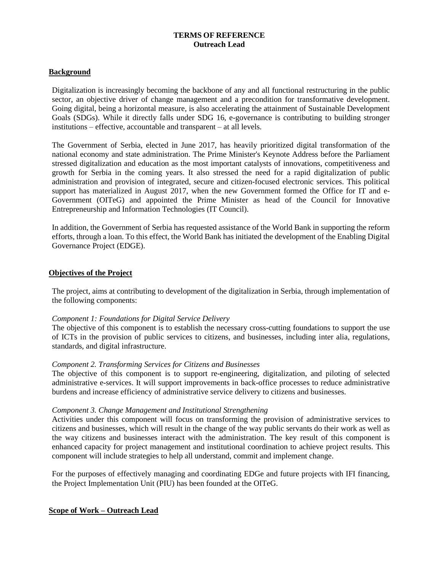## **TERMS OF REFERENCE Outreach Lead**

#### **Background**

Digitalization is increasingly becoming the backbone of any and all functional restructuring in the public sector, an objective driver of change management and a precondition for transformative development. Going digital, being a horizontal measure, is also accelerating the attainment of Sustainable Development Goals (SDGs). While it directly falls under SDG 16, e-governance is contributing to building stronger institutions – effective, accountable and transparent – at all levels.

The Government of Serbia, elected in June 2017, has heavily prioritized digital transformation of the national economy and state administration. The Prime Minister's Keynote Address before the Parliament stressed digitalization and education as the most important catalysts of innovations, competitiveness and growth for Serbia in the coming years. It also stressed the need for a rapid digitalization of public administration and provision of integrated, secure and citizen-focused electronic services. This political support has materialized in August 2017, when the new Government formed the Office for IT and e-Government (OITeG) and appointed the Prime Minister as head of the Council for Innovative Entrepreneurship and Information Technologies (IT Council).

In addition, the Government of Serbia has requested assistance of the World Bank in supporting the reform efforts, through a loan. To this effect, the World Bank has initiated the development of the Enabling Digital Governance Project (EDGE).

#### **Objectives of the Project**

The project, aims at contributing to development of the digitalization in Serbia, through implementation of the following components:

#### *Component 1: Foundations for Digital Service Delivery*

The objective of this component is to establish the necessary cross-cutting foundations to support the use of ICTs in the provision of public services to citizens, and businesses, including inter alia, regulations, standards, and digital infrastructure.

#### *Component 2. Transforming Services for Citizens and Businesses*

The objective of this component is to support re-engineering, digitalization, and piloting of selected administrative e-services. It will support improvements in back-office processes to reduce administrative burdens and increase efficiency of administrative service delivery to citizens and businesses.

#### *Component 3. Change Management and Institutional Strengthening*

Activities under this component will focus on transforming the provision of administrative services to citizens and businesses, which will result in the change of the way public servants do their work as well as the way citizens and businesses interact with the administration. The key result of this component is enhanced capacity for project management and institutional coordination to achieve project results. This component will include strategies to help all understand, commit and implement change.

For the purposes of effectively managing and coordinating EDGe and future projects with IFI financing, the Project Implementation Unit (PIU) has been founded at the OITeG.

### **Scope of Work – Outreach Lead**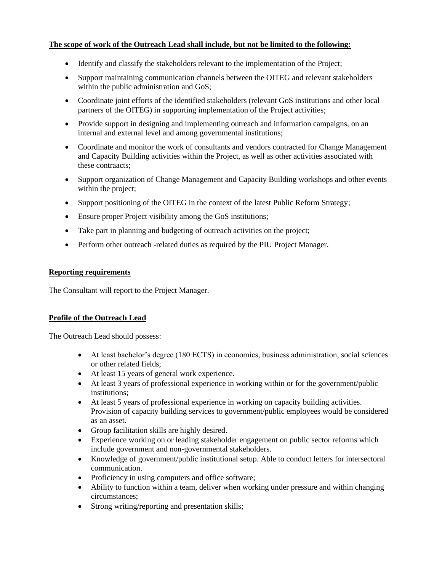# **The scope of work of the Outreach Lead shall include, but not be limited to the following:**

- Identify and classify the stakeholders relevant to the implementation of the Project;
- Support maintaining communication channels between the OITEG and relevant stakeholders within the public administration and GoS;
- Coordinate joint efforts of the identified stakeholders (relevant GoS institutions and other local partners of the OITEG) in supporting implementation of the Project activities;
- Provide support in designing and implementing outreach and information campaigns, on an internal and external level and among governmental institutions;
- Coordinate and monitor the work of consultants and vendors contracted for Change Management and Capacity Building activities within the Project, as well as other activities associated with these contraacts;
- Support organization of Change Management and Capacity Building workshops and other events within the project;
- Support positioning of the OITEG in the context of the latest Public Reform Strategy;
- Ensure proper Project visibility among the GoS institutions;
- Take part in planning and budgeting of outreach activities on the project;
- Perform other outreach -related duties as required by the PIU Project Manager.

### **Reporting requirements**

The Consultant will report to the Project Manager.

### **Profile of the Outreach Lead**

The Outreach Lead should possess:

- At least bachelor's degree (180 ECTS) in economics, business administration, social sciences or other related fields;
- At least 15 years of general work experience.
- At least 3 years of professional experience in working within or for the government/public institutions;
- At least 5 years of professional experience in working on capacity building activities. Provision of capacity building services to government/public employees would be considered as an asset.
- Group facilitation skills are highly desired.
- Experience working on or leading stakeholder engagement on public sector reforms which include government and non-governmental stakeholders.
- Knowledge of government/public institutional setup. Able to conduct letters for intersectoral communication.
- Proficiency in using computers and office software;
- Ability to function within a team, deliver when working under pressure and within changing circumstances;
- Strong writing/reporting and presentation skills;